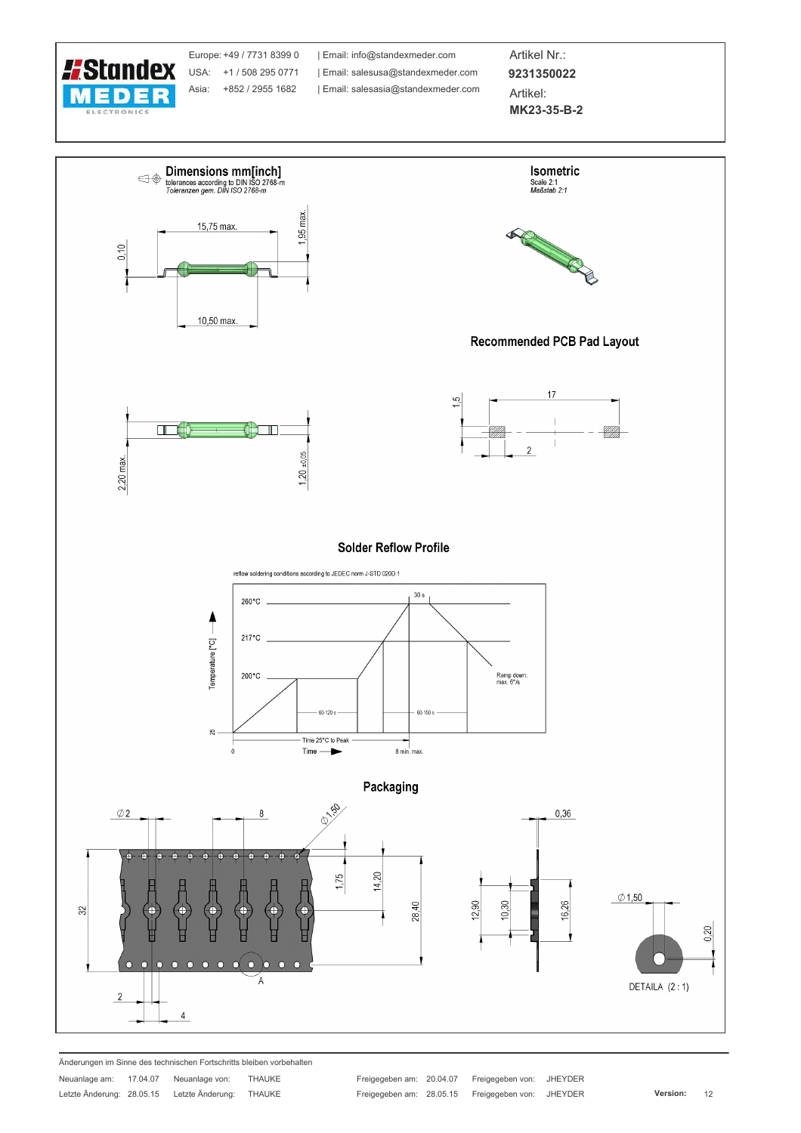

Europe: +49 / 7731 8399 0 USA: +1 / 508 295 0771 Asia: +852 / 2955 1682

| Email: info@standexmeder.com Email: salesusa@standexmeder.com | Email: salesasia@standexmeder.com

Artikel Nr.: 9231350022 Artikel:

MK23-35-B-2



Änderungen im Sinne des technischen Fortschritts bleiben vorbehalten